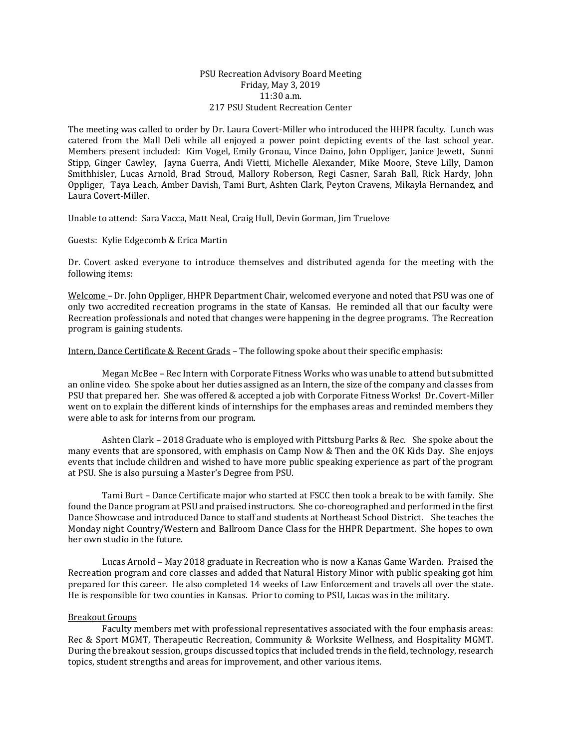## PSU Recreation Advisory Board Meeting Friday, May 3, 2019 11:30 a.m. 217 PSU Student Recreation Center

The meeting was called to order by Dr. Laura Covert-Miller who introduced the HHPR faculty. Lunch was catered from the Mall Deli while all enjoyed a power point depicting events of the last school year. Members present included: Kim Vogel, Emily Gronau, Vince Daino, John Oppliger, Janice Jewett, Sunni Stipp, Ginger Cawley, Jayna Guerra, Andi Vietti, Michelle Alexander, Mike Moore, Steve Lilly, Damon Smithhisler, Lucas Arnold, Brad Stroud, Mallory Roberson, Regi Casner, Sarah Ball, Rick Hardy, John Oppliger, Taya Leach, Amber Davish, Tami Burt, Ashten Clark, Peyton Cravens, Mikayla Hernandez, and Laura Covert-Miller.

Unable to attend: Sara Vacca, Matt Neal, Craig Hull, Devin Gorman, Jim Truelove

Guests: Kylie Edgecomb & Erica Martin

Dr. Covert asked everyone to introduce themselves and distributed agenda for the meeting with the following items:

Welcome – Dr. John Oppliger, HHPR Department Chair, welcomed everyone and noted that PSU was one of only two accredited recreation programs in the state of Kansas. He reminded all that our faculty were Recreation professionals and noted that changes were happening in the degree programs. The Recreation program is gaining students.

Intern, Dance Certificate & Recent Grads – The following spoke about their specific emphasis:

Megan McBee – Rec Intern with Corporate Fitness Works who was unable to attend but submitted an online video. She spoke about her duties assigned as an Intern, the size of the company and classes from PSU that prepared her. She was offered & accepted a job with Corporate Fitness Works! Dr. Covert-Miller went on to explain the different kinds of internships for the emphases areas and reminded members they were able to ask for interns from our program.

Ashten Clark – 2018 Graduate who is employed with Pittsburg Parks & Rec. She spoke about the many events that are sponsored, with emphasis on Camp Now & Then and the OK Kids Day. She enjoys events that include children and wished to have more public speaking experience as part of the program at PSU. She is also pursuing a Master's Degree from PSU.

Tami Burt – Dance Certificate major who started at FSCC then took a break to be with family. She found the Dance program at PSU and praised instructors. She co-choreographed and performed in the first Dance Showcase and introduced Dance to staff and students at Northeast School District. She teaches the Monday night Country/Western and Ballroom Dance Class for the HHPR Department. She hopes to own her own studio in the future.

Lucas Arnold – May 2018 graduate in Recreation who is now a Kanas Game Warden. Praised the Recreation program and core classes and added that Natural History Minor with public speaking got him prepared for this career. He also completed 14 weeks of Law Enforcement and travels all over the state. He is responsible for two counties in Kansas. Prior to coming to PSU, Lucas was in the military.

## Breakout Groups

Faculty members met with professional representatives associated with the four emphasis areas: Rec & Sport MGMT, Therapeutic Recreation, Community & Worksite Wellness, and Hospitality MGMT. During the breakout session, groups discussed topics that included trends in the field, technology, research topics, student strengths and areas for improvement, and other various items.